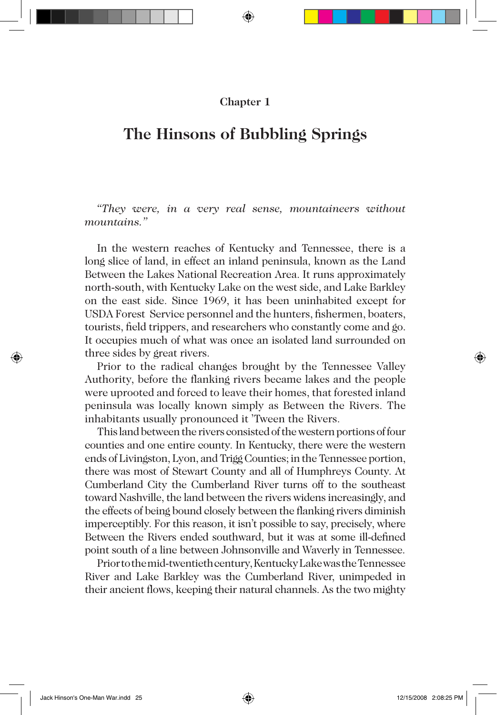### **Chapter 1**

# **The Hinsons of Bubbling Springs**

*"They were, in a very real sense, mountaineers without mountains."*

In the western reaches of Kentucky and Tennessee, there is a long slice of land, in effect an inland peninsula, known as the Land Between the Lakes National Recreation Area. It runs approximately north-south, with Kentucky Lake on the west side, and Lake Barkley on the east side. Since 1969, it has been uninhabited except for USDA Forest Service personnel and the hunters, fishermen, boaters, tourists, field trippers, and researchers who constantly come and go. It occupies much of what was once an isolated land surrounded on three sides by great rivers.

Prior to the radical changes brought by the Tennessee Valley Authority, before the flanking rivers became lakes and the people were uprooted and forced to leave their homes, that forested inland peninsula was locally known simply as Between the Rivers. The inhabitants usually pronounced it 'Tween the Rivers.

This land between the rivers consisted of the western portions of four counties and one entire county. In Kentucky, there were the western ends of Livingston, Lyon, and Trigg Counties; in the Tennessee portion, there was most of Stewart County and all of Humphreys County. At Cumberland City the Cumberland River turns off to the southeast toward Nashville, the land between the rivers widens increasingly, and the effects of being bound closely between the flanking rivers diminish imperceptibly. For this reason, it isn't possible to say, precisely, where Between the Rivers ended southward, but it was at some ill-defined point south of a line between Johnsonville and Waverly in Tennessee.

Prior to the mid-twentieth century, Kentucky Lake was the Tennessee River and Lake Barkley was the Cumberland River, unimpeded in their ancient flows, keeping their natural channels. As the two mighty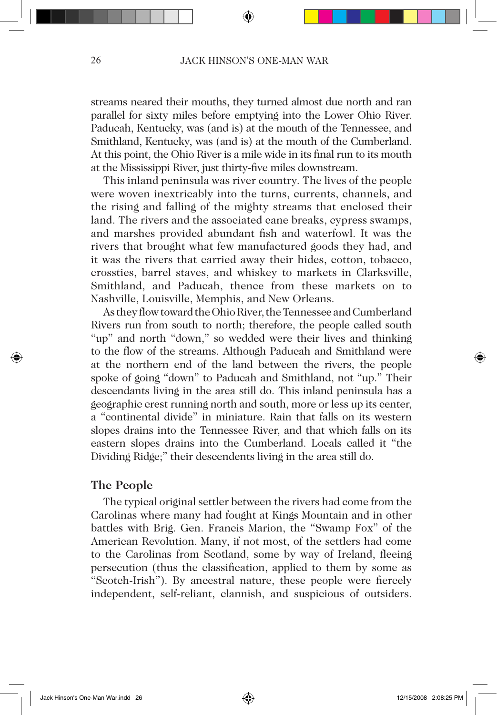streams neared their mouths, they turned almost due north and ran parallel for sixty miles before emptying into the Lower Ohio River. Paducah, Kentucky, was (and is) at the mouth of the Tennessee, and Smithland, Kentucky, was (and is) at the mouth of the Cumberland. At this point, the Ohio River is a mile wide in its final run to its mouth at the Mississippi River, just thirty-five miles downstream.

This inland peninsula was river country. The lives of the people were woven inextricably into the turns, currents, channels, and the rising and falling of the mighty streams that enclosed their land. The rivers and the associated cane breaks, cypress swamps, and marshes provided abundant fish and waterfowl. It was the rivers that brought what few manufactured goods they had, and it was the rivers that carried away their hides, cotton, tobacco, crossties, barrel staves, and whiskey to markets in Clarksville, Smithland, and Paducah, thence from these markets on to Nashville, Louisville, Memphis, and New Orleans.

As they flow toward the Ohio River, the Tennessee and Cumberland Rivers run from south to north; therefore, the people called south "up" and north "down," so wedded were their lives and thinking to the flow of the streams. Although Paducah and Smithland were at the northern end of the land between the rivers, the people spoke of going "down" to Paducah and Smithland, not "up." Their descendants living in the area still do. This inland peninsula has a geographic crest running north and south, more or less up its center, a "continental divide" in miniature. Rain that falls on its western slopes drains into the Tennessee River, and that which falls on its eastern slopes drains into the Cumberland. Locals called it "the Dividing Ridge;" their descendents living in the area still do.

#### **The People**

The typical original settler between the rivers had come from the Carolinas where many had fought at Kings Mountain and in other battles with Brig. Gen. Francis Marion, the "Swamp Fox" of the American Revolution. Many, if not most, of the settlers had come to the Carolinas from Scotland, some by way of Ireland, fleeing persecution (thus the classification, applied to them by some as "Scotch-Irish"). By ancestral nature, these people were fiercely independent, self-reliant, clannish, and suspicious of outsiders.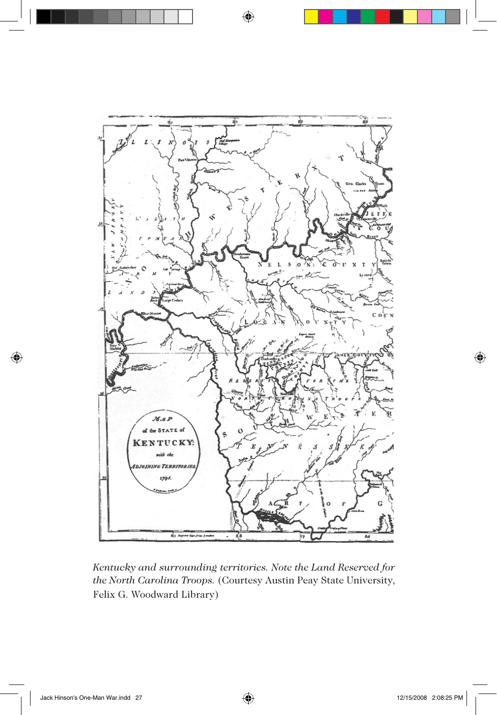

*Kentucky and surrounding territories. Note the Land Reserved for the North Carolina Troops.* (Courtesy Austin Peay State University, Felix G. Woodward Library)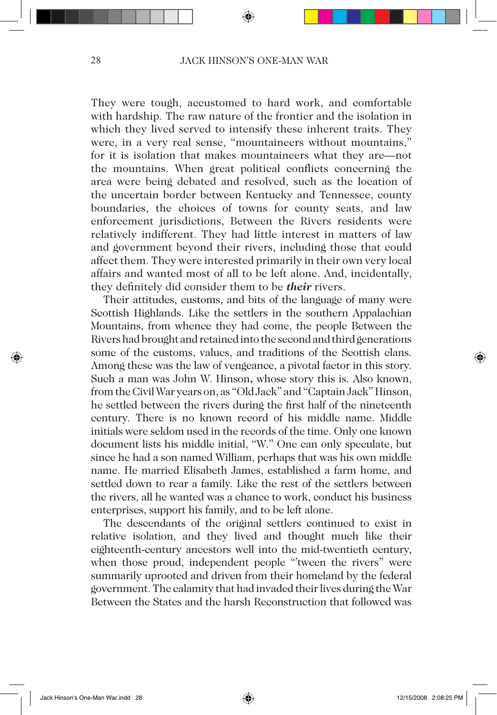They were tough, accustomed to hard work, and comfortable with hardship. The raw nature of the frontier and the isolation in which they lived served to intensify these inherent traits. They were, in a very real sense, "mountaineers without mountains," for it is isolation that makes mountaineers what they are—not the mountains. When great political conflicts concerning the area were being debated and resolved, such as the location of the uncertain border between Kentucky and Tennessee, county boundaries, the choices of towns for county seats, and law enforcement jurisdictions, Between the Rivers residents were relatively indifferent. They had little interest in matters of law and government beyond their rivers, including those that could affect them. They were interested primarily in their own very local affairs and wanted most of all to be left alone. And, incidentally, they definitely did consider them to be *their* rivers.

Their attitudes, customs, and bits of the language of many were Scottish Highlands. Like the settlers in the southern Appalachian Mountains, from whence they had come, the people Between the Rivers had brought and retained into the second and third generations some of the customs, values, and traditions of the Scottish clans. Among these was the law of vengeance, a pivotal factor in this story. Such a man was John W. Hinson**,** whose story this is. Also known, from the Civil War years on, as "Old Jack" and "Captain Jack" Hinson, he settled between the rivers during the first half of the nineteenth century. There is no known record of his middle name. Middle initials were seldom used in the records of the time. Only one known document lists his middle initial, "W." One can only speculate, but since he had a son named William, perhaps that was his own middle name. He married Elisabeth James, established a farm home, and settled down to rear a family. Like the rest of the settlers between the rivers, all he wanted was a chance to work, conduct his business enterprises, support his family, and to be left alone.

The descendants of the original settlers continued to exist in relative isolation, and they lived and thought much like their eighteenth-century ancestors well into the mid-twentieth century, when those proud, independent people "'tween the rivers" were summarily uprooted and driven from their homeland by the federal government. The calamity that had invaded their lives during the War Between the States and the harsh Reconstruction that followed was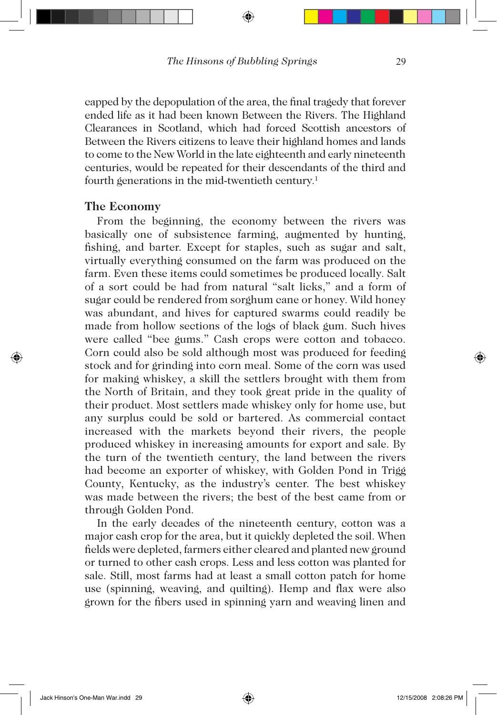capped by the depopulation of the area, the final tragedy that forever ended life as it had been known Between the Rivers. The Highland Clearances in Scotland, which had forced Scottish ancestors of Between the Rivers citizens to leave their highland homes and lands to come to the New World in the late eighteenth and early nineteenth centuries, would be repeated for their descendants of the third and fourth generations in the mid-twentieth century.<sup>1</sup>

#### **The Economy**

From the beginning, the economy between the rivers was basically one of subsistence farming, augmented by hunting, fishing, and barter. Except for staples, such as sugar and salt, virtually everything consumed on the farm was produced on the farm. Even these items could sometimes be produced locally. Salt of a sort could be had from natural "salt licks," and a form of sugar could be rendered from sorghum cane or honey. Wild honey was abundant, and hives for captured swarms could readily be made from hollow sections of the logs of black gum. Such hives were called "bee gums." Cash crops were cotton and tobacco. Corn could also be sold although most was produced for feeding stock and for grinding into corn meal. Some of the corn was used for making whiskey, a skill the settlers brought with them from the North of Britain, and they took great pride in the quality of their product. Most settlers made whiskey only for home use, but any surplus could be sold or bartered. As commercial contact increased with the markets beyond their rivers, the people produced whiskey in increasing amounts for export and sale. By the turn of the twentieth century, the land between the rivers had become an exporter of whiskey, with Golden Pond in Trigg County, Kentucky, as the industry's center. The best whiskey was made between the rivers; the best of the best came from or through Golden Pond.

In the early decades of the nineteenth century, cotton was a major cash crop for the area, but it quickly depleted the soil. When fields were depleted, farmers either cleared and planted new ground or turned to other cash crops. Less and less cotton was planted for sale. Still, most farms had at least a small cotton patch for home use (spinning, weaving, and quilting). Hemp and flax were also grown for the fibers used in spinning yarn and weaving linen and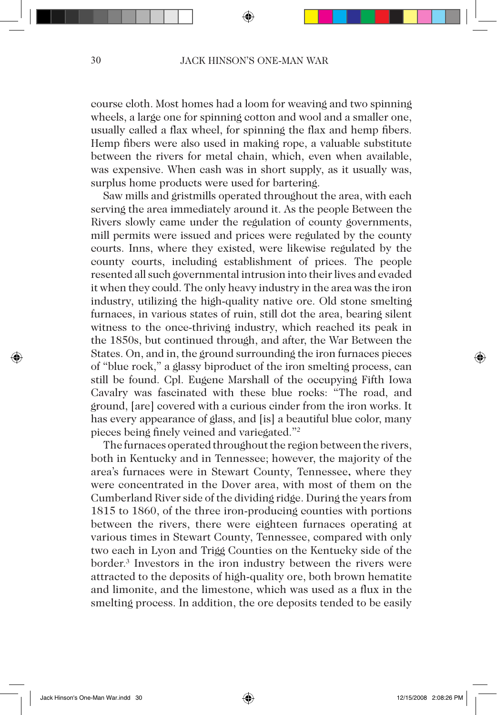course cloth. Most homes had a loom for weaving and two spinning wheels, a large one for spinning cotton and wool and a smaller one, usually called a flax wheel, for spinning the flax and hemp fibers. Hemp fibers were also used in making rope, a valuable substitute between the rivers for metal chain, which, even when available, was expensive. When cash was in short supply, as it usually was, surplus home products were used for bartering.

Saw mills and gristmills operated throughout the area, with each serving the area immediately around it. As the people Between the Rivers slowly came under the regulation of county governments, mill permits were issued and prices were regulated by the county courts. Inns, where they existed, were likewise regulated by the county courts, including establishment of prices. The people resented all such governmental intrusion into their lives and evaded it when they could. The only heavy industry in the area was the iron industry, utilizing the high-quality native ore. Old stone smelting furnaces, in various states of ruin, still dot the area, bearing silent witness to the once-thriving industry, which reached its peak in the 1850s, but continued through, and after, the War Between the States. On, and in, the ground surrounding the iron furnaces pieces of "blue rock," a glassy biproduct of the iron smelting process, can still be found. Cpl. Eugene Marshall of the occupying Fifth Iowa Cavalry was fascinated with these blue rocks: "The road, and ground, [are] covered with a curious cinder from the iron works. It has every appearance of glass, and [is] a beautiful blue color, many pieces being finely veined and variegated."2

The furnaces operated throughout the region between the rivers, both in Kentucky and in Tennessee; however, the majority of the area's furnaces were in Stewart County, Tennessee**,** where they were concentrated in the Dover area, with most of them on the Cumberland River side of the dividing ridge. During the years from 1815 to 1860, of the three iron-producing counties with portions between the rivers, there were eighteen furnaces operating at various times in Stewart County, Tennessee, compared with only two each in Lyon and Trigg Counties on the Kentucky side of the border.3 Investors in the iron industry between the rivers were attracted to the deposits of high-quality ore, both brown hematite and limonite, and the limestone, which was used as a flux in the smelting process. In addition, the ore deposits tended to be easily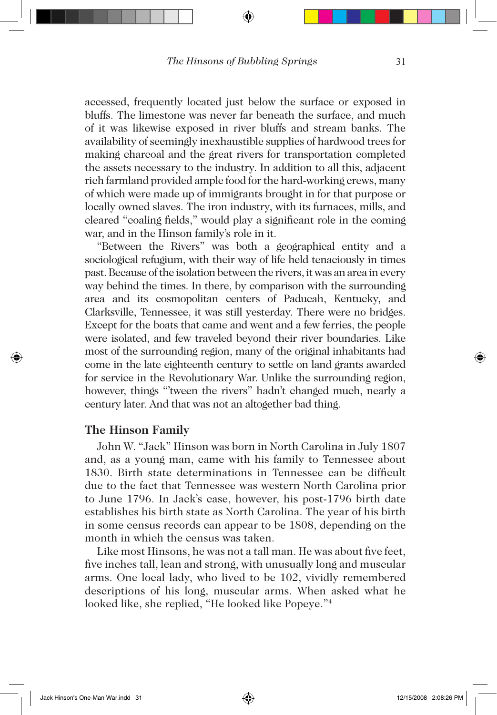accessed, frequently located just below the surface or exposed in bluffs. The limestone was never far beneath the surface, and much of it was likewise exposed in river bluffs and stream banks. The availability of seemingly inexhaustible supplies of hardwood trees for making charcoal and the great rivers for transportation completed the assets necessary to the industry. In addition to all this, adjacent rich farmland provided ample food for the hard-working crews, many of which were made up of immigrants brought in for that purpose or locally owned slaves. The iron industry, with its furnaces, mills, and cleared "coaling fields," would play a significant role in the coming war, and in the Hinson family's role in it.

"Between the Rivers" was both a geographical entity and a sociological refugium, with their way of life held tenaciously in times past. Because of the isolation between the rivers, it was an area in every way behind the times. In there, by comparison with the surrounding area and its cosmopolitan centers of Paducah, Kentucky, and Clarksville, Tennessee, it was still yesterday. There were no bridges. Except for the boats that came and went and a few ferries, the people were isolated, and few traveled beyond their river boundaries. Like most of the surrounding region, many of the original inhabitants had come in the late eighteenth century to settle on land grants awarded for service in the Revolutionary War. Unlike the surrounding region, however, things "tween the rivers" hadn't changed much, nearly a century later. And that was not an altogether bad thing.

### **The Hinson Family**

John W. "Jack" Hinson was born in North Carolina in July 1807 and, as a young man, came with his family to Tennessee about 1830. Birth state determinations in Tennessee can be difficult due to the fact that Tennessee was western North Carolina prior to June 1796. In Jack's case, however, his post-1796 birth date establishes his birth state as North Carolina. The year of his birth in some census records can appear to be 1808, depending on the month in which the census was taken.

Like most Hinsons, he was not a tall man. He was about five feet, five inches tall, lean and strong, with unusually long and muscular arms. One local lady, who lived to be 102, vividly remembered descriptions of his long, muscular arms. When asked what he looked like, she replied, "He looked like Popeye."4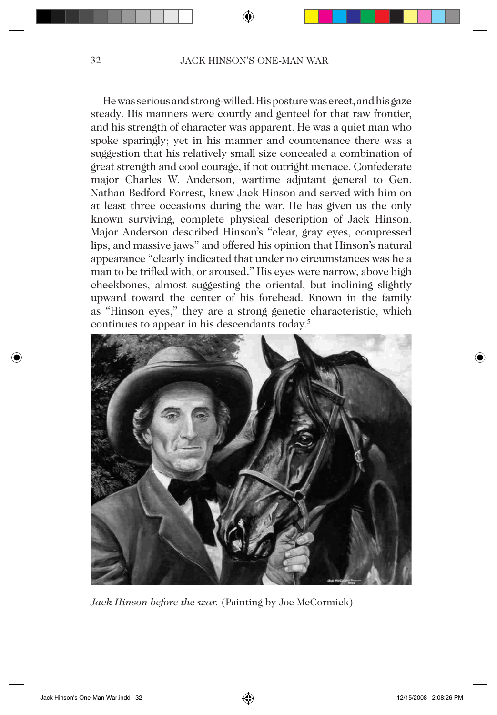He was serious and strong-willed. His posture was erect, and his gaze steady. His manners were courtly and genteel for that raw frontier, and his strength of character was apparent. He was a quiet man who spoke sparingly; yet in his manner and countenance there was a suggestion that his relatively small size concealed a combination of great strength and cool courage, if not outright menace. Confederate major Charles W. Anderson, wartime adjutant general to Gen. Nathan Bedford Forrest, knew Jack Hinson and served with him on at least three occasions during the war. He has given us the only known surviving, complete physical description of Jack Hinson. Major Anderson described Hinson's "clear, gray eyes, compressed lips, and massive jaws" and offered his opinion that Hinson's natural appearance "clearly indicated that under no circumstances was he a man to be trifled with, or aroused**.**" His eyes were narrow, above high cheekbones, almost suggesting the oriental, but inclining slightly upward toward the center of his forehead. Known in the family as "Hinson eyes," they are a strong genetic characteristic, which continues to appear in his descendants today.5



*Jack Hinson before the war.* (Painting by Joe McCormick)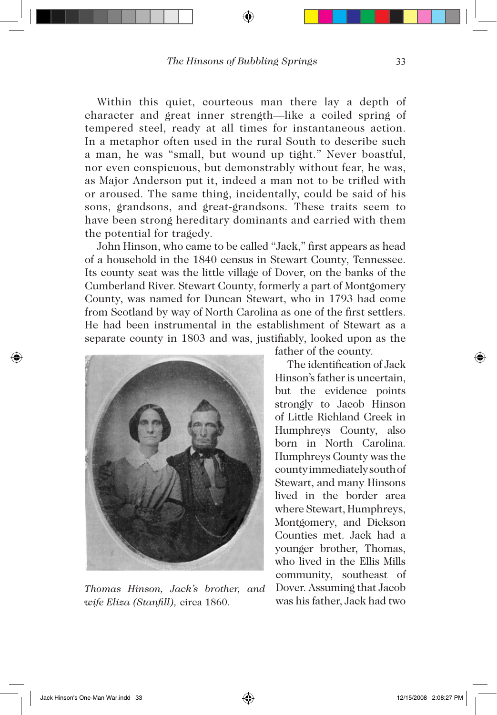Within this quiet, courteous man there lay a depth of character and great inner strength—like a coiled spring of tempered steel, ready at all times for instantaneous action. In a metaphor often used in the rural South to describe such a man, he was "small, but wound up tight." Never boastful, nor even conspicuous, but demonstrably without fear, he was, as Major Anderson put it, indeed a man not to be trifled with or aroused. The same thing, incidentally, could be said of his sons, grandsons, and great-grandsons. These traits seem to have been strong hereditary dominants and carried with them the potential for tragedy.

John Hinson, who came to be called "Jack," first appears as head of a household in the 1840 census in Stewart County, Tennessee. Its county seat was the little village of Dover, on the banks of the Cumberland River. Stewart County, formerly a part of Montgomery County, was named for Duncan Stewart, who in 1793 had come from Scotland by way of North Carolina as one of the first settlers. He had been instrumental in the establishment of Stewart as a separate county in 1803 and was, justifiably, looked upon as the



*Thomas Hinson, Jack's brother, and wife Eliza (Stanfill),* circa 1860.

father of the county.

The identification of Jack Hinson's father is uncertain, but the evidence points strongly to Jacob Hinson of Little Richland Creek in Humphreys County, also born in North Carolina. Humphreys County was the county immediately south of Stewart, and many Hinsons lived in the border area where Stewart, Humphreys, Montgomery, and Dickson Counties met. Jack had a younger brother, Thomas, who lived in the Ellis Mills community, southeast of Dover. Assuming that Jacob was his father, Jack had two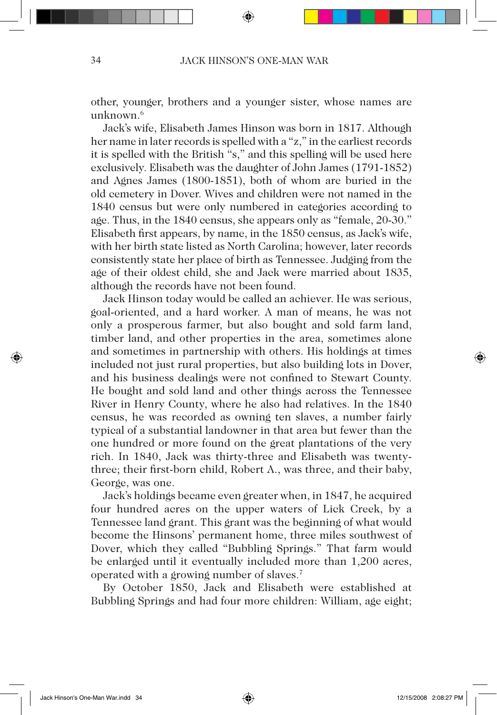other, younger, brothers and a younger sister, whose names are unknown.<sup>6</sup>

Jack's wife, Elisabeth James Hinson was born in 1817. Although her name in later records is spelled with a "z," in the earliest records it is spelled with the British "s," and this spelling will be used here exclusively. Elisabeth was the daughter of John James (1791-1852) and Agnes James (1800-1851), both of whom are buried in the old cemetery in Dover. Wives and children were not named in the 1840 census but were only numbered in categories according to age. Thus, in the 1840 census, she appears only as "female, 20-30." Elisabeth first appears, by name, in the 1850 census, as Jack's wife, with her birth state listed as North Carolina; however, later records consistently state her place of birth as Tennessee. Judging from the age of their oldest child, she and Jack were married about 1835, although the records have not been found.

Jack Hinson today would be called an achiever. He was serious, goal-oriented, and a hard worker. A man of means, he was not only a prosperous farmer, but also bought and sold farm land, timber land, and other properties in the area, sometimes alone and sometimes in partnership with others. His holdings at times included not just rural properties, but also building lots in Dover, and his business dealings were not confined to Stewart County. He bought and sold land and other things across the Tennessee River in Henry County, where he also had relatives. In the 1840 census, he was recorded as owning ten slaves, a number fairly typical of a substantial landowner in that area but fewer than the one hundred or more found on the great plantations of the very rich. In 1840, Jack was thirty-three and Elisabeth was twentythree; their first-born child, Robert A., was three, and their baby, George, was one.

Jack's holdings became even greater when, in 1847, he acquired four hundred acres on the upper waters of Lick Creek, by a Tennessee land grant. This grant was the beginning of what would become the Hinsons' permanent home, three miles southwest of Dover, which they called "Bubbling Springs." That farm would be enlarged until it eventually included more than 1,200 acres, operated with a growing number of slaves.7

By October 1850, Jack and Elisabeth were established at Bubbling Springs and had four more children: William, age eight;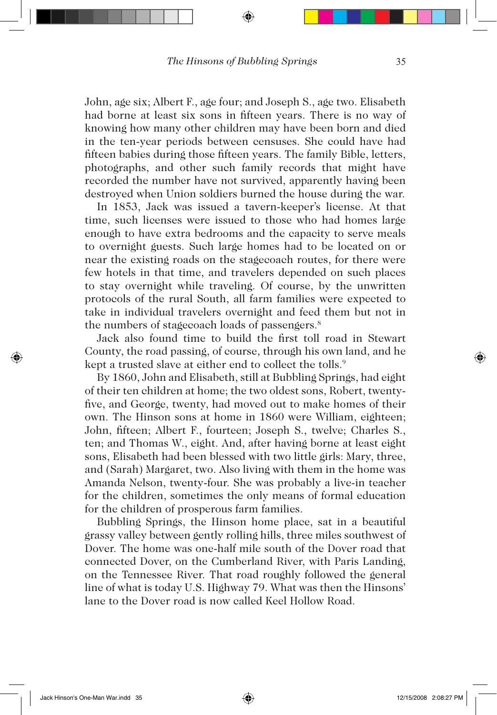John, age six; Albert F., age four; and Joseph S., age two. Elisabeth had borne at least six sons in fifteen years. There is no way of knowing how many other children may have been born and died in the ten-year periods between censuses. She could have had fifteen babies during those fifteen years. The family Bible, letters, photographs, and other such family records that might have recorded the number have not survived, apparently having been destroyed when Union soldiers burned the house during the war.

In 1853, Jack was issued a tavern-keeper's license. At that time, such licenses were issued to those who had homes large enough to have extra bedrooms and the capacity to serve meals to overnight guests. Such large homes had to be located on or near the existing roads on the stagecoach routes, for there were few hotels in that time, and travelers depended on such places to stay overnight while traveling. Of course, by the unwritten protocols of the rural South, all farm families were expected to take in individual travelers overnight and feed them but not in the numbers of stagecoach loads of passengers.<sup>8</sup>

Jack also found time to build the first toll road in Stewart County, the road passing, of course, through his own land, and he kept a trusted slave at either end to collect the tolls.<sup>9</sup>

By 1860, John and Elisabeth, still at Bubbling Springs, had eight of their ten children at home; the two oldest sons, Robert, twentyfive, and George, twenty, had moved out to make homes of their own. The Hinson sons at home in 1860 were William, eighteen; John, fifteen; Albert F., fourteen; Joseph S., twelve; Charles S., ten; and Thomas W., eight. And, after having borne at least eight sons, Elisabeth had been blessed with two little girls: Mary, three, and (Sarah) Margaret, two. Also living with them in the home was Amanda Nelson, twenty-four. She was probably a live-in teacher for the children, sometimes the only means of formal education for the children of prosperous farm families.

Bubbling Springs, the Hinson home place, sat in a beautiful grassy valley between gently rolling hills, three miles southwest of Dover. The home was one-half mile south of the Dover road that connected Dover, on the Cumberland River, with Paris Landing, on the Tennessee River. That road roughly followed the general line of what is today U.S. Highway 79. What was then the Hinsons' lane to the Dover road is now called Keel Hollow Road.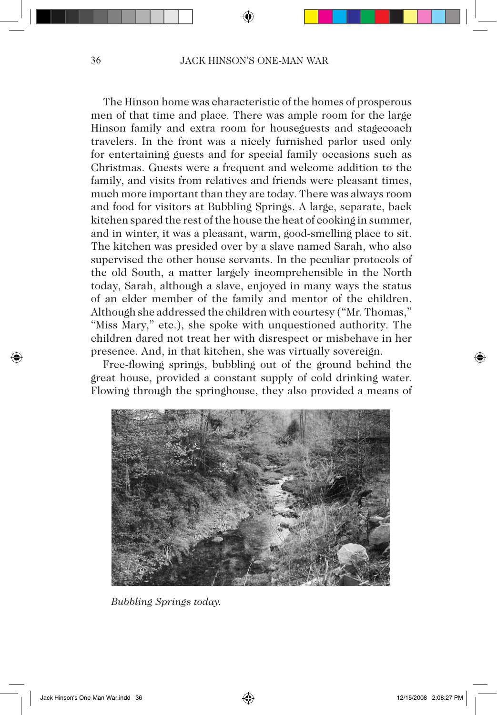The Hinson home was characteristic of the homes of prosperous men of that time and place. There was ample room for the large Hinson family and extra room for houseguests and stagecoach travelers. In the front was a nicely furnished parlor used only for entertaining guests and for special family occasions such as Christmas. Guests were a frequent and welcome addition to the family, and visits from relatives and friends were pleasant times, much more important than they are today. There was always room and food for visitors at Bubbling Springs. A large, separate, back kitchen spared the rest of the house the heat of cooking in summer, and in winter, it was a pleasant, warm, good-smelling place to sit. The kitchen was presided over by a slave named Sarah, who also supervised the other house servants. In the peculiar protocols of the old South, a matter largely incomprehensible in the North today, Sarah, although a slave, enjoyed in many ways the status of an elder member of the family and mentor of the children. Although she addressed the children with courtesy ("Mr. Thomas," "Miss Mary," etc.), she spoke with unquestioned authority. The children dared not treat her with disrespect or misbehave in her presence. And, in that kitchen, she was virtually sovereign.

Free-flowing springs, bubbling out of the ground behind the great house, provided a constant supply of cold drinking water. Flowing through the springhouse, they also provided a means of



*Bubbling Springs today.*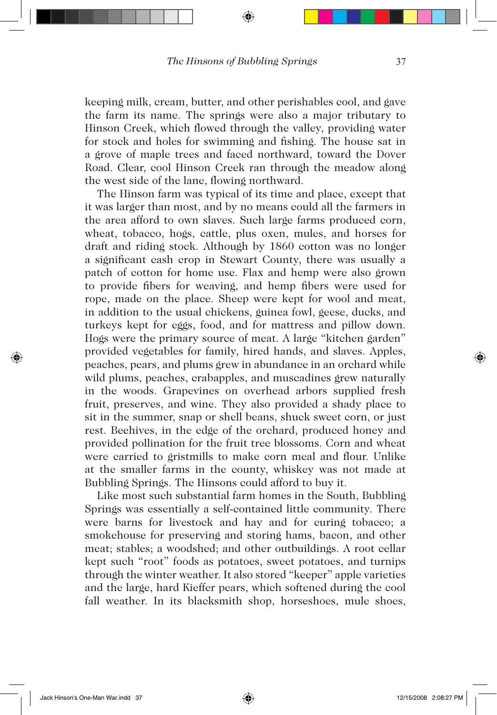keeping milk, cream, butter, and other perishables cool, and gave the farm its name. The springs were also a major tributary to Hinson Creek, which flowed through the valley, providing water for stock and holes for swimming and fishing. The house sat in a grove of maple trees and faced northward, toward the Dover Road. Clear, cool Hinson Creek ran through the meadow along the west side of the lane, flowing northward.

The Hinson farm was typical of its time and place, except that it was larger than most, and by no means could all the farmers in the area afford to own slaves. Such large farms produced corn, wheat, tobacco, hogs, cattle, plus oxen, mules, and horses for draft and riding stock. Although by 1860 cotton was no longer a significant cash crop in Stewart County, there was usually a patch of cotton for home use. Flax and hemp were also grown to provide fibers for weaving, and hemp fibers were used for rope, made on the place. Sheep were kept for wool and meat, in addition to the usual chickens, guinea fowl, geese, ducks, and turkeys kept for eggs, food, and for mattress and pillow down. Hogs were the primary source of meat. A large "kitchen garden" provided vegetables for family, hired hands, and slaves. Apples, peaches, pears, and plums grew in abundance in an orchard while wild plums, peaches, crabapples, and muscadines grew naturally in the woods. Grapevines on overhead arbors supplied fresh fruit, preserves, and wine. They also provided a shady place to sit in the summer, snap or shell beans, shuck sweet corn, or just rest. Beehives, in the edge of the orchard, produced honey and provided pollination for the fruit tree blossoms. Corn and wheat were carried to gristmills to make corn meal and flour. Unlike at the smaller farms in the county, whiskey was not made at Bubbling Springs. The Hinsons could afford to buy it.

Like most such substantial farm homes in the South, Bubbling Springs was essentially a self-contained little community. There were barns for livestock and hay and for curing tobacco; a smokehouse for preserving and storing hams, bacon, and other meat; stables; a woodshed; and other outbuildings. A root cellar kept such "root" foods as potatoes, sweet potatoes, and turnips through the winter weather. It also stored "keeper" apple varieties and the large, hard Kieffer pears, which softened during the cool fall weather. In its blacksmith shop, horseshoes, mule shoes,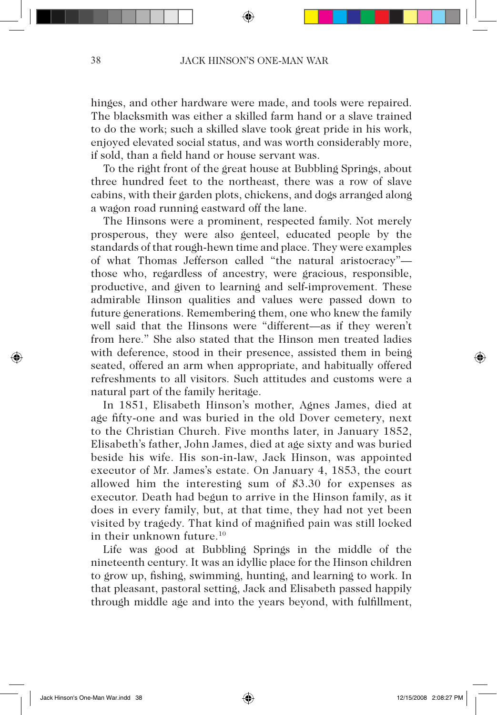hinges, and other hardware were made, and tools were repaired. The blacksmith was either a skilled farm hand or a slave trained to do the work; such a skilled slave took great pride in his work, enjoyed elevated social status, and was worth considerably more, if sold, than a field hand or house servant was.

To the right front of the great house at Bubbling Springs, about three hundred feet to the northeast, there was a row of slave cabins, with their garden plots, chickens, and dogs arranged along a wagon road running eastward off the lane.

The Hinsons were a prominent, respected family. Not merely prosperous, they were also genteel, educated people by the standards of that rough-hewn time and place. They were examples of what Thomas Jefferson called "the natural aristocracy" those who, regardless of ancestry, were gracious, responsible, productive, and given to learning and self-improvement. These admirable Hinson qualities and values were passed down to future generations. Remembering them, one who knew the family well said that the Hinsons were "different—as if they weren't from here." She also stated that the Hinson men treated ladies with deference, stood in their presence, assisted them in being seated, offered an arm when appropriate, and habitually offered refreshments to all visitors. Such attitudes and customs were a natural part of the family heritage.

In 1851, Elisabeth Hinson's mother, Agnes James, died at age fifty-one and was buried in the old Dover cemetery, next to the Christian Church. Five months later, in January 1852, Elisabeth's father, John James, died at age sixty and was buried beside his wife. His son-in-law, Jack Hinson, was appointed executor of Mr. James's estate. On January 4, 1853, the court allowed him the interesting sum of \$3.30 for expenses as executor. Death had begun to arrive in the Hinson family, as it does in every family, but, at that time, they had not yet been visited by tragedy. That kind of magnified pain was still locked in their unknown future.10

Life was good at Bubbling Springs in the middle of the nineteenth century. It was an idyllic place for the Hinson children to grow up, fishing, swimming, hunting, and learning to work. In that pleasant, pastoral setting, Jack and Elisabeth passed happily through middle age and into the years beyond, with fulfillment,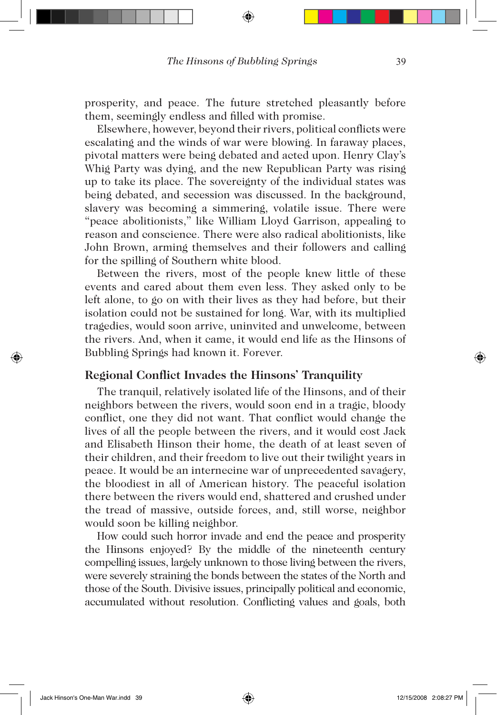prosperity, and peace. The future stretched pleasantly before them, seemingly endless and filled with promise.

Elsewhere, however, beyond their rivers, political conflicts were escalating and the winds of war were blowing. In faraway places, pivotal matters were being debated and acted upon. Henry Clay's Whig Party was dying, and the new Republican Party was rising up to take its place. The sovereignty of the individual states was being debated, and secession was discussed. In the background, slavery was becoming a simmering, volatile issue. There were "peace abolitionists," like William Lloyd Garrison, appealing to reason and conscience. There were also radical abolitionists, like John Brown, arming themselves and their followers and calling for the spilling of Southern white blood.

Between the rivers, most of the people knew little of these events and cared about them even less. They asked only to be left alone, to go on with their lives as they had before, but their isolation could not be sustained for long. War, with its multiplied tragedies, would soon arrive, uninvited and unwelcome, between the rivers. And, when it came, it would end life as the Hinsons of Bubbling Springs had known it. Forever.

# **Regional Conflict Invades the Hinsons' Tranquility**

The tranquil, relatively isolated life of the Hinsons, and of their neighbors between the rivers, would soon end in a tragic, bloody conflict, one they did not want. That conflict would change the lives of all the people between the rivers, and it would cost Jack and Elisabeth Hinson their home, the death of at least seven of their children, and their freedom to live out their twilight years in peace. It would be an internecine war of unprecedented savagery, the bloodiest in all of American history. The peaceful isolation there between the rivers would end, shattered and crushed under the tread of massive, outside forces, and, still worse, neighbor would soon be killing neighbor.

How could such horror invade and end the peace and prosperity the Hinsons enjoyed? By the middle of the nineteenth century compelling issues, largely unknown to those living between the rivers, were severely straining the bonds between the states of the North and those of the South. Divisive issues, principally political and economic, accumulated without resolution. Conflicting values and goals, both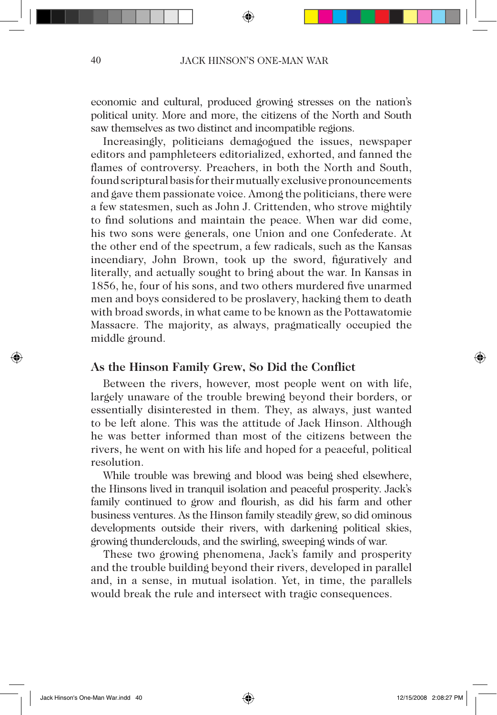economic and cultural, produced growing stresses on the nation's political unity. More and more, the citizens of the North and South saw themselves as two distinct and incompatible regions.

Increasingly, politicians demagogued the issues, newspaper editors and pamphleteers editorialized, exhorted, and fanned the flames of controversy. Preachers, in both the North and South, found scriptural basis for their mutually exclusive pronouncements and gave them passionate voice. Among the politicians, there were a few statesmen, such as John J. Crittenden, who strove mightily to find solutions and maintain the peace. When war did come, his two sons were generals, one Union and one Confederate. At the other end of the spectrum, a few radicals, such as the Kansas incendiary, John Brown, took up the sword, figuratively and literally, and actually sought to bring about the war. In Kansas in 1856, he, four of his sons, and two others murdered five unarmed men and boys considered to be proslavery, hacking them to death with broad swords, in what came to be known as the Pottawatomie Massacre. The majority, as always, pragmatically occupied the middle ground.

### **As the Hinson Family Grew, So Did the Conflict**

Between the rivers, however, most people went on with life, largely unaware of the trouble brewing beyond their borders, or essentially disinterested in them. They, as always, just wanted to be left alone. This was the attitude of Jack Hinson. Although he was better informed than most of the citizens between the rivers, he went on with his life and hoped for a peaceful, political resolution.

While trouble was brewing and blood was being shed elsewhere, the Hinsons lived in tranquil isolation and peaceful prosperity. Jack's family continued to grow and flourish, as did his farm and other business ventures. As the Hinson family steadily grew, so did ominous developments outside their rivers, with darkening political skies, growing thunderclouds, and the swirling, sweeping winds of war.

These two growing phenomena, Jack's family and prosperity and the trouble building beyond their rivers, developed in parallel and, in a sense, in mutual isolation. Yet, in time, the parallels would break the rule and intersect with tragic consequences.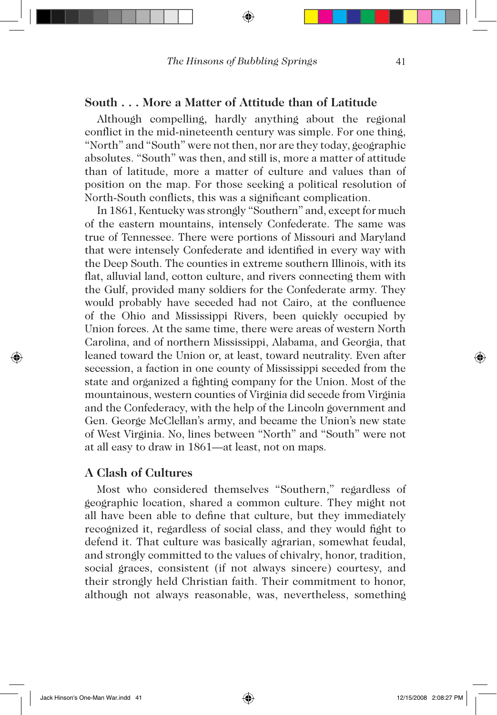### **South . . . More a Matter of Attitude than of Latitude**

Although compelling, hardly anything about the regional conflict in the mid-nineteenth century was simple. For one thing, "North" and "South" were not then, nor are they today, geographic absolutes. "South" was then, and still is, more a matter of attitude than of latitude, more a matter of culture and values than of position on the map. For those seeking a political resolution of North-South conflicts, this was a significant complication.

In 1861, Kentucky was strongly "Southern" and, except for much of the eastern mountains, intensely Confederate. The same was true of Tennessee. There were portions of Missouri and Maryland that were intensely Confederate and identified in every way with the Deep South. The counties in extreme southern Illinois, with its flat, alluvial land, cotton culture, and rivers connecting them with the Gulf, provided many soldiers for the Confederate army. They would probably have seceded had not Cairo, at the confluence of the Ohio and Mississippi Rivers, been quickly occupied by Union forces. At the same time, there were areas of western North Carolina, and of northern Mississippi, Alabama, and Georgia, that leaned toward the Union or, at least, toward neutrality. Even after secession, a faction in one county of Mississippi seceded from the state and organized a fighting company for the Union. Most of the mountainous, western counties of Virginia did secede from Virginia and the Confederacy, with the help of the Lincoln government and Gen. George McClellan's army, and became the Union's new state of West Virginia. No, lines between "North" and "South" were not at all easy to draw in 1861—at least, not on maps.

## **A Clash of Cultures**

Most who considered themselves "Southern," regardless of geographic location, shared a common culture. They might not all have been able to define that culture, but they immediately recognized it, regardless of social class, and they would fight to defend it. That culture was basically agrarian, somewhat feudal, and strongly committed to the values of chivalry, honor, tradition, social graces, consistent (if not always sincere) courtesy, and their strongly held Christian faith. Their commitment to honor, although not always reasonable, was, nevertheless, something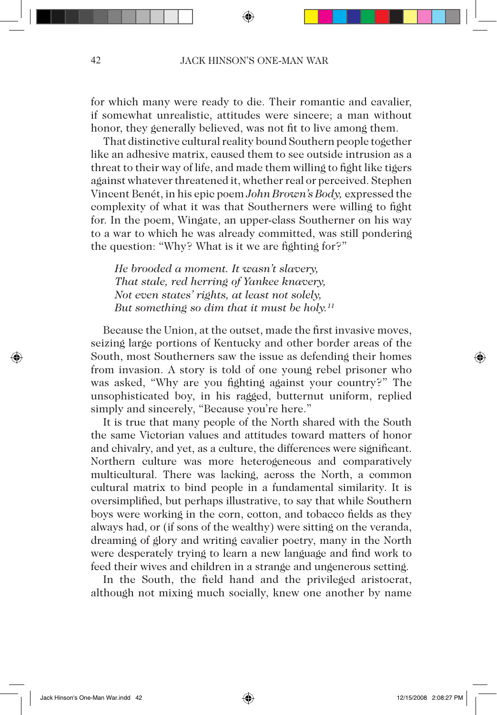for which many were ready to die. Their romantic and cavalier, if somewhat unrealistic, attitudes were sincere; a man without honor, they generally believed, was not fit to live among them.

That distinctive cultural reality bound Southern people together like an adhesive matrix, caused them to see outside intrusion as a threat to their way of life, and made them willing to fight like tigers against whatever threatened it, whether real or perceived. Stephen Vincent Benét, in his epic poem *John Brown's Body,* expressed the complexity of what it was that Southerners were willing to fight for. In the poem, Wingate, an upper-class Southerner on his way to a war to which he was already committed, was still pondering the question: "Why? What is it we are fighting for?"

*He brooded a moment. It wasn't slavery, That stale, red herring of Yankee knavery, Not even states' rights, at least not solely, But something so dim that it must be holy.11*

Because the Union, at the outset, made the first invasive moves, seizing large portions of Kentucky and other border areas of the South, most Southerners saw the issue as defending their homes from invasion. A story is told of one young rebel prisoner who was asked, "Why are you fighting against your country?" The unsophisticated boy, in his ragged, butternut uniform, replied simply and sincerely, "Because you're here."

It is true that many people of the North shared with the South the same Victorian values and attitudes toward matters of honor and chivalry, and yet, as a culture, the differences were significant. Northern culture was more heterogeneous and comparatively multicultural. There was lacking, across the North, a common cultural matrix to bind people in a fundamental similarity. It is oversimplified, but perhaps illustrative, to say that while Southern boys were working in the corn, cotton, and tobacco fields as they always had, or (if sons of the wealthy) were sitting on the veranda, dreaming of glory and writing cavalier poetry, many in the North were desperately trying to learn a new language and find work to feed their wives and children in a strange and ungenerous setting.

In the South, the field hand and the privileged aristocrat, although not mixing much socially, knew one another by name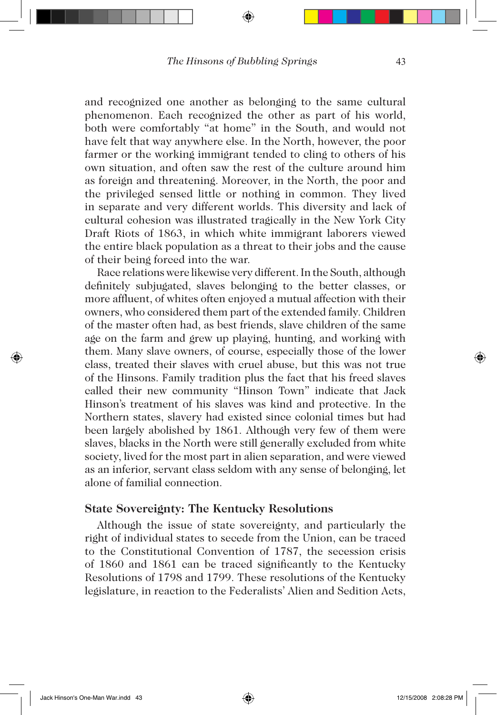and recognized one another as belonging to the same cultural phenomenon. Each recognized the other as part of his world, both were comfortably "at home" in the South, and would not have felt that way anywhere else. In the North, however, the poor farmer or the working immigrant tended to cling to others of his own situation, and often saw the rest of the culture around him as foreign and threatening. Moreover, in the North, the poor and the privileged sensed little or nothing in common. They lived in separate and very different worlds. This diversity and lack of cultural cohesion was illustrated tragically in the New York City Draft Riots of 1863, in which white immigrant laborers viewed the entire black population as a threat to their jobs and the cause of their being forced into the war.

Race relations were likewise very different. In the South, although definitely subjugated, slaves belonging to the better classes, or more affluent, of whites often enjoyed a mutual affection with their owners, who considered them part of the extended family. Children of the master often had, as best friends, slave children of the same age on the farm and grew up playing, hunting, and working with them. Many slave owners, of course, especially those of the lower class, treated their slaves with cruel abuse, but this was not true of the Hinsons. Family tradition plus the fact that his freed slaves called their new community "Hinson Town" indicate that Jack Hinson's treatment of his slaves was kind and protective. In the Northern states, slavery had existed since colonial times but had been largely abolished by 1861. Although very few of them were slaves, blacks in the North were still generally excluded from white society, lived for the most part in alien separation, and were viewed as an inferior, servant class seldom with any sense of belonging, let alone of familial connection.

### **State Sovereignty: The Kentucky Resolutions**

Although the issue of state sovereignty, and particularly the right of individual states to secede from the Union, can be traced to the Constitutional Convention of 1787, the secession crisis of 1860 and 1861 can be traced significantly to the Kentucky Resolutions of 1798 and 1799. These resolutions of the Kentucky legislature, in reaction to the Federalists' Alien and Sedition Acts,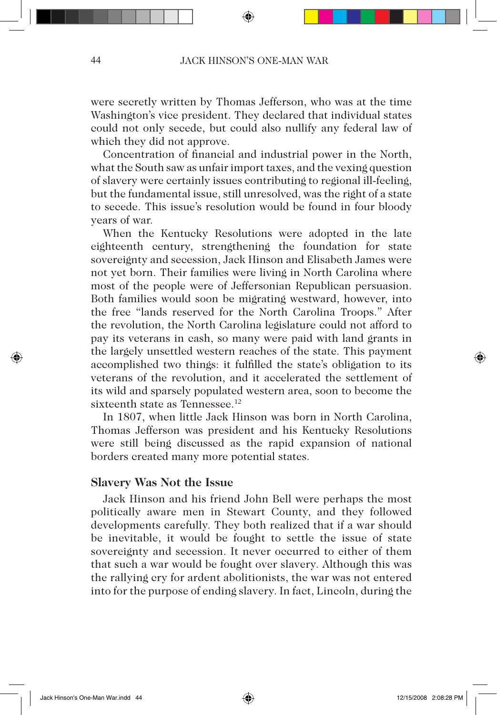were secretly written by Thomas Jefferson, who was at the time Washington's vice president. They declared that individual states could not only secede, but could also nullify any federal law of which they did not approve.

Concentration of financial and industrial power in the North, what the South saw as unfair import taxes, and the vexing question of slavery were certainly issues contributing to regional ill-feeling, but the fundamental issue, still unresolved, was the right of a state to secede. This issue's resolution would be found in four bloody years of war.

When the Kentucky Resolutions were adopted in the late eighteenth century, strengthening the foundation for state sovereignty and secession, Jack Hinson and Elisabeth James were not yet born. Their families were living in North Carolina where most of the people were of Jeffersonian Republican persuasion. Both families would soon be migrating westward, however, into the free "lands reserved for the North Carolina Troops." After the revolution, the North Carolina legislature could not afford to pay its veterans in cash, so many were paid with land grants in the largely unsettled western reaches of the state. This payment accomplished two things: it fulfilled the state's obligation to its veterans of the revolution, and it accelerated the settlement of its wild and sparsely populated western area, soon to become the sixteenth state as Tennessee.<sup>12</sup>

In 1807, when little Jack Hinson was born in North Carolina, Thomas Jefferson was president and his Kentucky Resolutions were still being discussed as the rapid expansion of national borders created many more potential states.

# **Slavery Was Not the Issue**

Jack Hinson and his friend John Bell were perhaps the most politically aware men in Stewart County, and they followed developments carefully. They both realized that if a war should be inevitable, it would be fought to settle the issue of state sovereignty and secession. It never occurred to either of them that such a war would be fought over slavery. Although this was the rallying cry for ardent abolitionists, the war was not entered into for the purpose of ending slavery. In fact, Lincoln, during the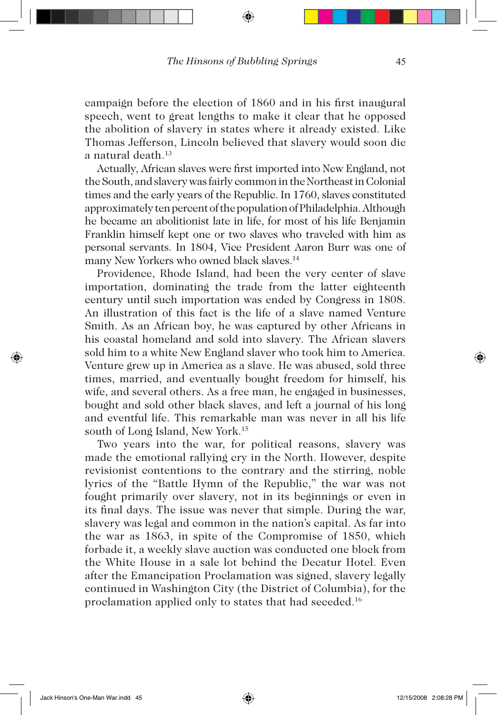campaign before the election of 1860 and in his first inaugural speech, went to great lengths to make it clear that he opposed the abolition of slavery in states where it already existed. Like Thomas Jefferson, Lincoln believed that slavery would soon die a natural death.13

Actually, African slaves were first imported into New England, not the South, and slavery was fairly common in the Northeast in Colonial times and the early years of the Republic. In 1760, slaves constituted approximately ten percent of the population of Philadelphia. Although he became an abolitionist late in life, for most of his life Benjamin Franklin himself kept one or two slaves who traveled with him as personal servants. In 1804, Vice President Aaron Burr was one of many New Yorkers who owned black slaves.<sup>14</sup>

Providence, Rhode Island, had been the very center of slave importation, dominating the trade from the latter eighteenth century until such importation was ended by Congress in 1808. An illustration of this fact is the life of a slave named Venture Smith. As an African boy, he was captured by other Africans in his coastal homeland and sold into slavery. The African slavers sold him to a white New England slaver who took him to America. Venture grew up in America as a slave. He was abused, sold three times, married, and eventually bought freedom for himself, his wife, and several others. As a free man, he engaged in businesses, bought and sold other black slaves, and left a journal of his long and eventful life. This remarkable man was never in all his life south of Long Island, New York.<sup>15</sup>

Two years into the war, for political reasons, slavery was made the emotional rallying cry in the North. However, despite revisionist contentions to the contrary and the stirring, noble lyrics of the "Battle Hymn of the Republic," the war was not fought primarily over slavery, not in its beginnings or even in its final days. The issue was never that simple. During the war, slavery was legal and common in the nation's capital. As far into the war as 1863, in spite of the Compromise of 1850, which forbade it, a weekly slave auction was conducted one block from the White House in a sale lot behind the Decatur Hotel. Even after the Emancipation Proclamation was signed, slavery legally continued in Washington City (the District of Columbia), for the proclamation applied only to states that had seceded.16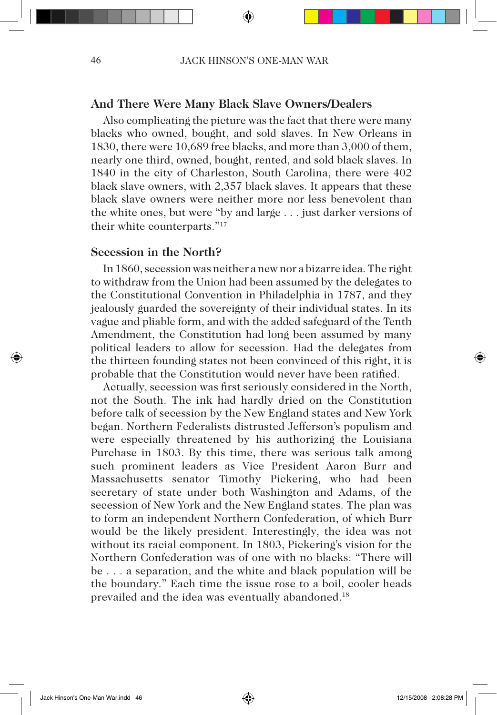### **And There Were Many Black Slave Owners/Dealers**

Also complicating the picture was the fact that there were many blacks who owned, bought, and sold slaves. In New Orleans in 1830, there were 10,689 free blacks, and more than 3,000 of them, nearly one third, owned, bought, rented, and sold black slaves. In 1840 in the city of Charleston, South Carolina, there were 402 black slave owners, with 2,357 black slaves. It appears that these black slave owners were neither more nor less benevolent than the white ones, but were "by and large . . . just darker versions of their white counterparts."17

### **Secession in the North?**

In 1860, secession was neither a new nor a bizarre idea. The right to withdraw from the Union had been assumed by the delegates to the Constitutional Convention in Philadelphia in 1787, and they jealously guarded the sovereignty of their individual states. In its vague and pliable form, and with the added safeguard of the Tenth Amendment, the Constitution had long been assumed by many political leaders to allow for secession. Had the delegates from the thirteen founding states not been convinced of this right, it is probable that the Constitution would never have been ratified.

Actually, secession was first seriously considered in the North, not the South. The ink had hardly dried on the Constitution before talk of secession by the New England states and New York began. Northern Federalists distrusted Jefferson's populism and were especially threatened by his authorizing the Louisiana Purchase in 1803. By this time, there was serious talk among such prominent leaders as Vice President Aaron Burr and Massachusetts senator Timothy Pickering, who had been secretary of state under both Washington and Adams, of the secession of New York and the New England states. The plan was to form an independent Northern Confederation, of which Burr would be the likely president. Interestingly, the idea was not without its racial component. In 1803, Pickering's vision for the Northern Confederation was of one with no blacks: "There will be . . . a separation, and the white and black population will be the boundary." Each time the issue rose to a boil, cooler heads prevailed and the idea was eventually abandoned.<sup>18</sup>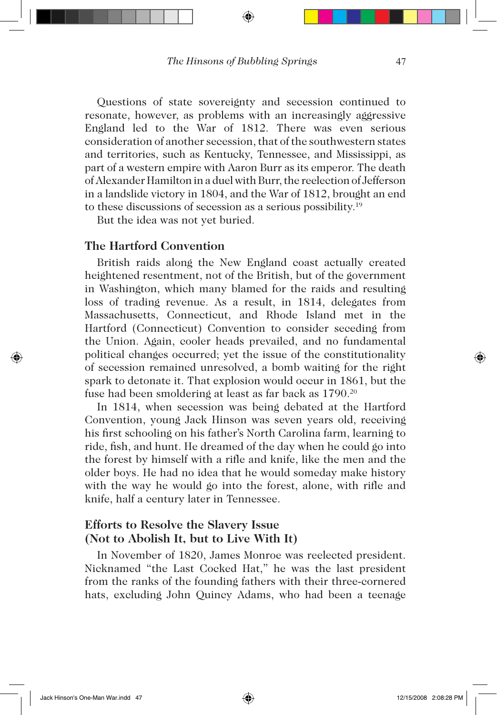Questions of state sovereignty and secession continued to resonate, however, as problems with an increasingly aggressive England led to the War of 1812. There was even serious consideration of another secession, that of the southwestern states and territories, such as Kentucky, Tennessee, and Mississippi, as part of a western empire with Aaron Burr as its emperor. The death of Alexander Hamilton in a duel with Burr, the reelection of Jefferson in a landslide victory in 1804, and the War of 1812, brought an end to these discussions of secession as a serious possibility.19

But the idea was not yet buried.

### **The Hartford Convention**

British raids along the New England coast actually created heightened resentment, not of the British, but of the government in Washington, which many blamed for the raids and resulting loss of trading revenue. As a result, in 1814, delegates from Massachusetts, Connecticut, and Rhode Island met in the Hartford (Connecticut) Convention to consider seceding from the Union. Again, cooler heads prevailed, and no fundamental political changes occurred; yet the issue of the constitutionality of secession remained unresolved, a bomb waiting for the right spark to detonate it. That explosion would occur in 1861, but the fuse had been smoldering at least as far back as 1790.20

In 1814, when secession was being debated at the Hartford Convention, young Jack Hinson was seven years old, receiving his first schooling on his father's North Carolina farm, learning to ride, fish, and hunt. He dreamed of the day when he could go into the forest by himself with a rifle and knife, like the men and the older boys. He had no idea that he would someday make history with the way he would go into the forest, alone, with rifle and knife, half a century later in Tennessee.

# **Efforts to Resolve the Slavery Issue (Not to Abolish It, but to Live With It)**

In November of 1820, James Monroe was reelected president. Nicknamed "the Last Cocked Hat," he was the last president from the ranks of the founding fathers with their three-cornered hats, excluding John Quincy Adams, who had been a teenage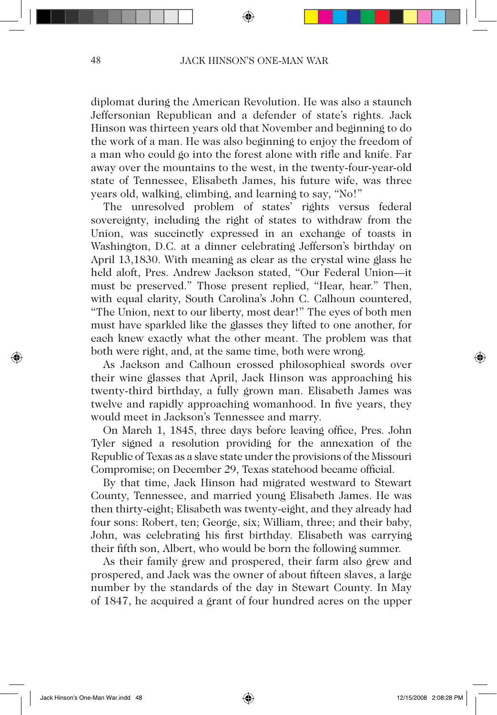diplomat during the American Revolution. He was also a staunch Jeffersonian Republican and a defender of state's rights. Jack Hinson was thirteen years old that November and beginning to do the work of a man. He was also beginning to enjoy the freedom of a man who could go into the forest alone with rifle and knife. Far away over the mountains to the west, in the twenty-four-year-old state of Tennessee, Elisabeth James, his future wife, was three years old, walking, climbing, and learning to say, "No!"

The unresolved problem of states' rights versus federal sovereignty, including the right of states to withdraw from the Union, was succinctly expressed in an exchange of toasts in Washington, D.C. at a dinner celebrating Jefferson's birthday on April 13,1830. With meaning as clear as the crystal wine glass he held aloft, Pres. Andrew Jackson stated, "Our Federal Union—it must be preserved." Those present replied, "Hear, hear." Then, with equal clarity, South Carolina's John C. Calhoun countered, "The Union, next to our liberty, most dear!" The eyes of both men must have sparkled like the glasses they lifted to one another, for each knew exactly what the other meant. The problem was that both were right, and, at the same time, both were wrong.

As Jackson and Calhoun crossed philosophical swords over their wine glasses that April, Jack Hinson was approaching his twenty-third birthday, a fully grown man. Elisabeth James was twelve and rapidly approaching womanhood. In five years, they would meet in Jackson's Tennessee and marry.

On March 1, 1845, three days before leaving office, Pres. John Tyler signed a resolution providing for the annexation of the Republic of Texas as a slave state under the provisions of the Missouri Compromise; on December 29, Texas statehood became official.

By that time, Jack Hinson had migrated westward to Stewart County, Tennessee, and married young Elisabeth James. He was then thirty-eight; Elisabeth was twenty-eight, and they already had four sons: Robert, ten; George, six; William, three; and their baby, John, was celebrating his first birthday. Elisabeth was carrying their fifth son, Albert, who would be born the following summer.

As their family grew and prospered, their farm also grew and prospered, and Jack was the owner of about fifteen slaves, a large number by the standards of the day in Stewart County. In May of 1847, he acquired a grant of four hundred acres on the upper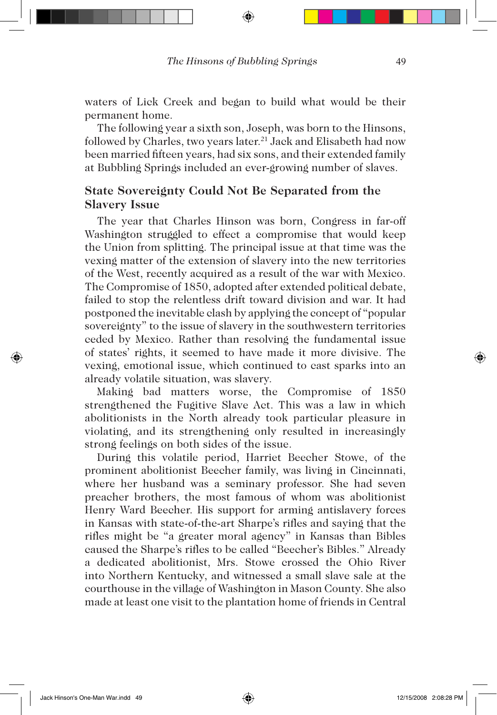waters of Lick Creek and began to build what would be their permanent home.

The following year a sixth son, Joseph, was born to the Hinsons, followed by Charles, two years later.<sup>21</sup> Jack and Elisabeth had now been married fifteen years, had six sons, and their extended family at Bubbling Springs included an ever-growing number of slaves.

# **State Sovereignty Could Not Be Separated from the Slavery Issue**

The year that Charles Hinson was born, Congress in far-off Washington struggled to effect a compromise that would keep the Union from splitting. The principal issue at that time was the vexing matter of the extension of slavery into the new territories of the West, recently acquired as a result of the war with Mexico. The Compromise of 1850, adopted after extended political debate, failed to stop the relentless drift toward division and war. It had postponed the inevitable clash by applying the concept of "popular sovereignty" to the issue of slavery in the southwestern territories ceded by Mexico. Rather than resolving the fundamental issue of states' rights, it seemed to have made it more divisive. The vexing, emotional issue, which continued to cast sparks into an already volatile situation, was slavery.

Making bad matters worse, the Compromise of 1850 strengthened the Fugitive Slave Act. This was a law in which abolitionists in the North already took particular pleasure in violating, and its strengthening only resulted in increasingly strong feelings on both sides of the issue.

During this volatile period, Harriet Beecher Stowe, of the prominent abolitionist Beecher family, was living in Cincinnati, where her husband was a seminary professor. She had seven preacher brothers, the most famous of whom was abolitionist Henry Ward Beecher. His support for arming antislavery forces in Kansas with state-of-the-art Sharpe's rifles and saying that the rifles might be "a greater moral agency" in Kansas than Bibles caused the Sharpe's rifles to be called "Beecher's Bibles." Already a dedicated abolitionist, Mrs. Stowe crossed the Ohio River into Northern Kentucky, and witnessed a small slave sale at the courthouse in the village of Washington in Mason County. She also made at least one visit to the plantation home of friends in Central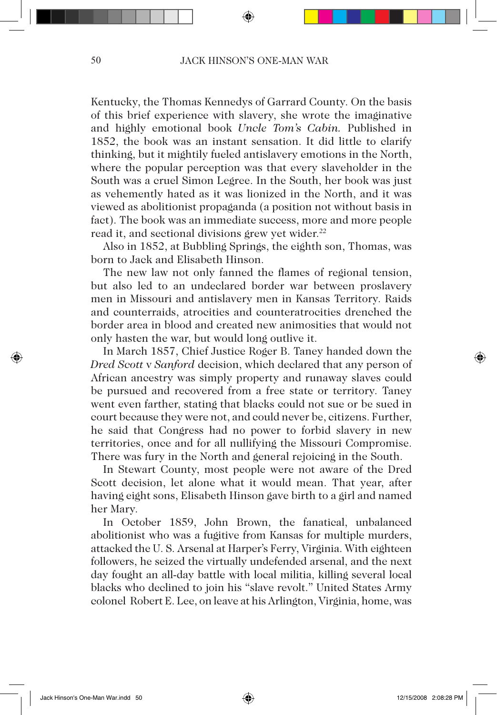Kentucky, the Thomas Kennedys of Garrard County. On the basis of this brief experience with slavery, she wrote the imaginative and highly emotional book *Uncle Tom's Cabin.* Published in 1852, the book was an instant sensation. It did little to clarify thinking, but it mightily fueled antislavery emotions in the North, where the popular perception was that every slaveholder in the South was a cruel Simon Legree. In the South, her book was just as vehemently hated as it was lionized in the North, and it was viewed as abolitionist propaganda (a position not without basis in fact). The book was an immediate success, more and more people read it, and sectional divisions grew yet wider.<sup>22</sup>

Also in 1852, at Bubbling Springs, the eighth son, Thomas, was born to Jack and Elisabeth Hinson.

The new law not only fanned the flames of regional tension, but also led to an undeclared border war between proslavery men in Missouri and antislavery men in Kansas Territory. Raids and counterraids, atrocities and counteratrocities drenched the border area in blood and created new animosities that would not only hasten the war, but would long outlive it.

In March 1857, Chief Justice Roger B. Taney handed down the *Dred Scott* v *Sanford* decision, which declared that any person of African ancestry was simply property and runaway slaves could be pursued and recovered from a free state or territory. Taney went even farther, stating that blacks could not sue or be sued in court because they were not, and could never be, citizens. Further, he said that Congress had no power to forbid slavery in new territories, once and for all nullifying the Missouri Compromise. There was fury in the North and general rejoicing in the South.

In Stewart County, most people were not aware of the Dred Scott decision, let alone what it would mean. That year, after having eight sons, Elisabeth Hinson gave birth to a girl and named her Mary.

In October 1859, John Brown, the fanatical, unbalanced abolitionist who was a fugitive from Kansas for multiple murders, attacked the U. S. Arsenal at Harper's Ferry, Virginia. With eighteen followers, he seized the virtually undefended arsenal, and the next day fought an all-day battle with local militia, killing several local blacks who declined to join his "slave revolt." United States Army colonel Robert E. Lee, on leave at his Arlington, Virginia, home, was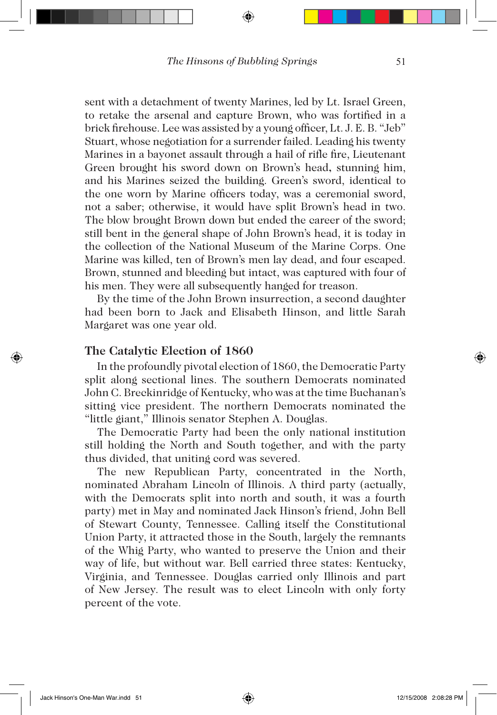sent with a detachment of twenty Marines, led by Lt. Israel Green, to retake the arsenal and capture Brown, who was fortified in a brick firehouse. Lee was assisted by a young officer, Lt. J. E. B. "Jeb" Stuart, whose negotiation for a surrender failed. Leading his twenty Marines in a bayonet assault through a hail of rifle fire, Lieutenant Green brought his sword down on Brown's head**,** stunning him, and his Marines seized the building. Green's sword, identical to the one worn by Marine officers today, was a ceremonial sword, not a saber; otherwise, it would have split Brown's head in two. The blow brought Brown down but ended the career of the sword; still bent in the general shape of John Brown's head, it is today in the collection of the National Museum of the Marine Corps. One Marine was killed, ten of Brown's men lay dead, and four escaped. Brown, stunned and bleeding but intact, was captured with four of his men. They were all subsequently hanged for treason.

By the time of the John Brown insurrection, a second daughter had been born to Jack and Elisabeth Hinson, and little Sarah Margaret was one year old.

### **The Catalytic Election of 1860**

In the profoundly pivotal election of 1860, the Democratic Party split along sectional lines. The southern Democrats nominated John C. Breckinridge of Kentucky, who was at the time Buchanan's sitting vice president. The northern Democrats nominated the "little giant," Illinois senator Stephen A. Douglas.

The Democratic Party had been the only national institution still holding the North and South together, and with the party thus divided, that uniting cord was severed.

The new Republican Party, concentrated in the North, nominated Abraham Lincoln of Illinois. A third party (actually, with the Democrats split into north and south, it was a fourth party) met in May and nominated Jack Hinson's friend, John Bell of Stewart County, Tennessee. Calling itself the Constitutional Union Party, it attracted those in the South, largely the remnants of the Whig Party, who wanted to preserve the Union and their way of life, but without war. Bell carried three states: Kentucky, Virginia, and Tennessee. Douglas carried only Illinois and part of New Jersey. The result was to elect Lincoln with only forty percent of the vote.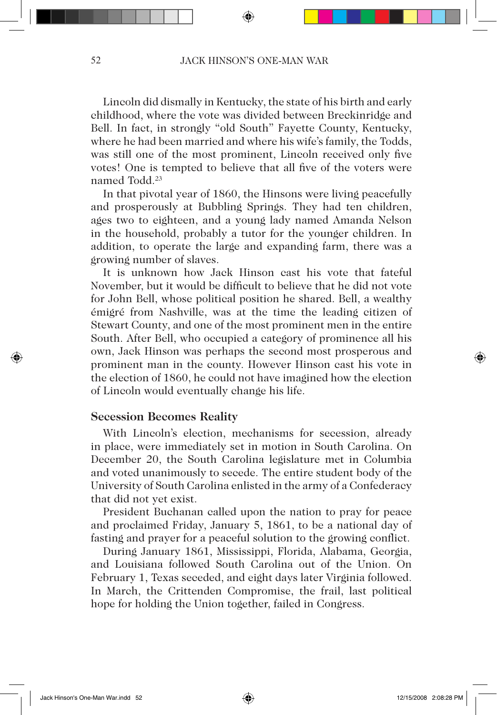Lincoln did dismally in Kentucky, the state of his birth and early childhood, where the vote was divided between Breckinridge and Bell. In fact, in strongly "old South" Fayette County, Kentucky, where he had been married and where his wife's family, the Todds, was still one of the most prominent, Lincoln received only five votes! One is tempted to believe that all five of the voters were named Todd.23

In that pivotal year of 1860, the Hinsons were living peacefully and prosperously at Bubbling Springs. They had ten children, ages two to eighteen, and a young lady named Amanda Nelson in the household, probably a tutor for the younger children. In addition, to operate the large and expanding farm, there was a growing number of slaves.

It is unknown how Jack Hinson cast his vote that fateful November, but it would be difficult to believe that he did not vote for John Bell, whose political position he shared. Bell, a wealthy émigré from Nashville, was at the time the leading citizen of Stewart County, and one of the most prominent men in the entire South. After Bell, who occupied a category of prominence all his own, Jack Hinson was perhaps the second most prosperous and prominent man in the county. However Hinson cast his vote in the election of 1860, he could not have imagined how the election of Lincoln would eventually change his life.

### **Secession Becomes Reality**

With Lincoln's election, mechanisms for secession, already in place, were immediately set in motion in South Carolina. On December 20, the South Carolina legislature met in Columbia and voted unanimously to secede. The entire student body of the University of South Carolina enlisted in the army of a Confederacy that did not yet exist.

President Buchanan called upon the nation to pray for peace and proclaimed Friday, January 5, 1861, to be a national day of fasting and prayer for a peaceful solution to the growing conflict.

During January 1861, Mississippi, Florida, Alabama, Georgia, and Louisiana followed South Carolina out of the Union. On February 1, Texas seceded, and eight days later Virginia followed. In March, the Crittenden Compromise, the frail, last political hope for holding the Union together, failed in Congress.